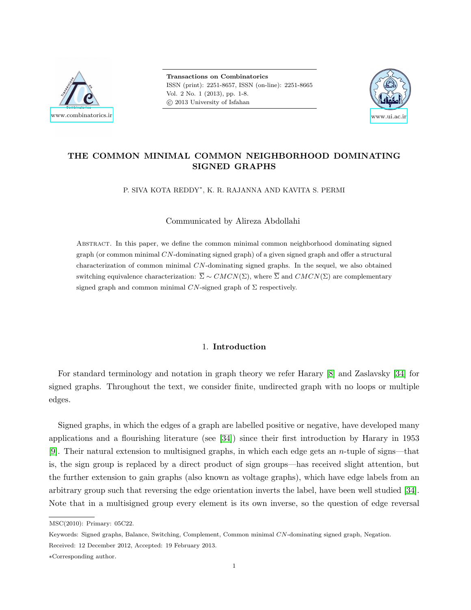

Transactions on Combinatorics ISSN (print): 2251-8657, ISSN (on-line): 2251-8665 Vol. 2 No. 1 (2013), pp. 1-8. c 2013 University of Isfahan



# THE COMMON MINIMAL COMMON NEIGHBORHOOD DOMINATING SIGNED GRAPHS

P. SIVA KOTA REDDY<sup>∗</sup> , K. R. RAJANNA AND KAVITA S. PERMI

Communicated by Alireza Abdollahi

Abstract. In this paper, we define the common minimal common neighborhood dominating signed graph (or common minimal  $CN$ -dominating signed graph) of a given signed graph and offer a structural characterization of common minimal CN-dominating signed graphs. In the sequel, we also obtained switching equivalence characterization:  $\overline{\Sigma} \sim CMCN(\Sigma)$ , where  $\overline{\Sigma}$  and  $CMCN(\Sigma)$  are complementary signed graph and common minimal  $CN$ -signed graph of  $\Sigma$  respectively.

## 1. Introduction

For standard terminology and notation in graph theory we refer Harary [\[8\]](#page-5-0) and Zaslavsky [\[34\]](#page-6-0) for signed graphs. Throughout the text, we consider finite, undirected graph with no loops or multiple edges.

Signed graphs, in which the edges of a graph are labelled positive or negative, have developed many applications and a flourishing literature (see [\[34\]](#page-6-0)) since their first introduction by Harary in 1953 [\[9\]](#page-5-1). Their natural extension to multisigned graphs, in which each edge gets an n-tuple of signs—that is, the sign group is replaced by a direct product of sign groups—has received slight attention, but the further extension to gain graphs (also known as voltage graphs), which have edge labels from an arbitrary group such that reversing the edge orientation inverts the label, have been well studied [\[34\]](#page-6-0). Note that in a multisigned group every element is its own inverse, so the question of edge reversal

MSC(2010): Primary: 05C22.

Keywords: Signed graphs, Balance, Switching, Complement, Common minimal CN-dominating signed graph, Negation.

Received: 12 December 2012, Accepted: 19 February 2013.

<sup>∗</sup>Corresponding author.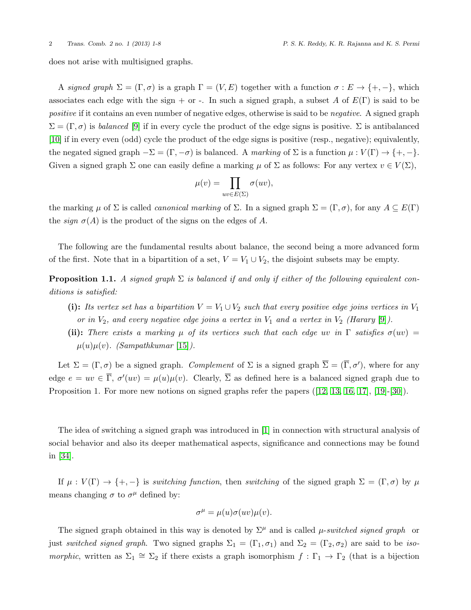does not arise with multisigned graphs.

A signed graph  $\Sigma = (\Gamma, \sigma)$  is a graph  $\Gamma = (V, E)$  together with a function  $\sigma : E \to \{+, -\}$ , which associates each edge with the sign + or -. In such a signed graph, a subset A of  $E(\Gamma)$  is said to be positive if it contains an even number of negative edges, otherwise is said to be *negative*. A signed graph  $\Sigma = (\Gamma, \sigma)$  is balanced [\[9\]](#page-5-1) if in every cycle the product of the edge signs is positive.  $\Sigma$  is antibalanced [\[10\]](#page-5-2) if in every even (odd) cycle the product of the edge signs is positive (resp., negative); equivalently, the negated signed graph  $-\Sigma = (\Gamma, -\sigma)$  is balanced. A marking of  $\Sigma$  is a function  $\mu : V(\Gamma) \to \{+, -\}.$ Given a signed graph  $\Sigma$  one can easily define a marking  $\mu$  of  $\Sigma$  as follows: For any vertex  $v \in V(\Sigma)$ ,

$$
\mu(v) = \prod_{uv \in E(\Sigma)} \sigma(uv),
$$

the marking  $\mu$  of  $\Sigma$  is called *canonical marking* of  $\Sigma$ . In a signed graph  $\Sigma = (\Gamma, \sigma)$ , for any  $A \subseteq E(\Gamma)$ the *sign*  $\sigma(A)$  is the product of the signs on the edges of A.

The following are the fundamental results about balance, the second being a more advanced form of the first. Note that in a bipartition of a set,  $V = V_1 \cup V_2$ , the disjoint subsets may be empty.

**Proposition 1.1.** A signed graph  $\Sigma$  is balanced if and only if either of the following equivalent conditions is satisfied:

- (i): Its vertex set has a bipartition  $V = V_1 \cup V_2$  such that every positive edge joins vertices in  $V_1$ or in  $V_2$ , and every negative edge joins a vertex in  $V_1$  and a vertex in  $V_2$  (Harary [\[9\]](#page-5-1)).
- (ii): There exists a marking  $\mu$  of its vertices such that each edge uv in  $\Gamma$  satisfies  $\sigma(uv)$  =  $\mu(u)\mu(v)$ . (Sampathkumar [\[15\]](#page-6-1)).

Let  $\Sigma = (\Gamma, \sigma)$  be a signed graph. Complement of  $\Sigma$  is a signed graph  $\overline{\Sigma} = (\overline{\Gamma}, \sigma')$ , where for any edge  $e = uv \in \overline{\Gamma}$ ,  $\sigma'(uv) = \mu(u)\mu(v)$ . Clearly,  $\overline{\Sigma}$  as defined here is a balanced signed graph due to Proposition1. For more new notions on signed graphs refer the papers ([\[12,](#page-6-2) [13,](#page-6-3) [16,](#page-6-4) [17\]](#page-6-5), [\[19\]](#page-6-6)-[\[30\]](#page-6-7)).

The idea of switching a signed graph was introduced in [\[1\]](#page-5-3) in connection with structural analysis of social behavior and also its deeper mathematical aspects, significance and connections may be found in [\[34\]](#page-6-0).

If  $\mu : V(\Gamma) \to \{+, -\}$  is switching function, then switching of the signed graph  $\Sigma = (\Gamma, \sigma)$  by  $\mu$ means changing  $\sigma$  to  $\sigma^{\mu}$  defined by:

$$
\sigma^{\mu} = \mu(u)\sigma(uv)\mu(v).
$$

The signed graph obtained in this way is denoted by  $\Sigma^{\mu}$  and is called  $\mu$ -switched signed graph or just switched signed graph. Two signed graphs  $\Sigma_1 = (\Gamma_1, \sigma_1)$  and  $\Sigma_2 = (\Gamma_2, \sigma_2)$  are said to be isomorphic, written as  $\Sigma_1 \cong \Sigma_2$  if there exists a graph isomorphism  $f : \Gamma_1 \to \Gamma_2$  (that is a bijection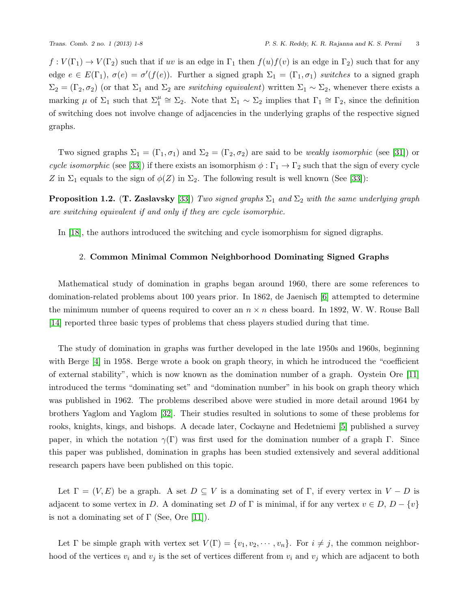$f: V(\Gamma_1) \to V(\Gamma_2)$  such that if uv is an edge in  $\Gamma_1$  then  $f(u)f(v)$  is an edge in  $\Gamma_2$ ) such that for any edge  $e \in E(\Gamma_1)$ ,  $\sigma(e) = \sigma'(f(e))$ . Further a signed graph  $\Sigma_1 = (\Gamma_1, \sigma_1)$  switches to a signed graph  $\Sigma_2 = (\Gamma_2, \sigma_2)$  (or that  $\Sigma_1$  and  $\Sigma_2$  are *switching equivalent*) written  $\Sigma_1 \sim \Sigma_2$ , whenever there exists a marking  $\mu$  of  $\Sigma_1$  such that  $\Sigma_1^{\mu} \cong \Sigma_2$ . Note that  $\Sigma_1 \sim \Sigma_2$  implies that  $\Gamma_1 \cong \Gamma_2$ , since the definition of switching does not involve change of adjacencies in the underlying graphs of the respective signed graphs.

Two signed graphs  $\Sigma_1 = (\Gamma_1, \sigma_1)$  and  $\Sigma_2 = (\Gamma_2, \sigma_2)$  are said to be *weakly isomorphic* (see [\[31\]](#page-6-8)) or cycle isomorphic (see [\[33\]](#page-6-9)) if there exists an isomorphism  $\phi : \Gamma_1 \to \Gamma_2$  such that the sign of every cycle Z in  $\Sigma_1$  equals to the sign of  $\phi(Z)$  in  $\Sigma_2$ . The following result is well known (See [\[33\]](#page-6-9)):

**Proposition 1.2.** (T. Zaslavsky [\[33\]](#page-6-9)) Two signed graphs  $\Sigma_1$  and  $\Sigma_2$  with the same underlying graph are switching equivalent if and only if they are cycle isomorphic.

In [\[18\]](#page-6-10), the authors introduced the switching and cycle isomorphism for signed digraphs.

### 2. Common Minimal Common Neighborhood Dominating Signed Graphs

Mathematical study of domination in graphs began around 1960, there are some references to domination-related problems about 100 years prior. In 1862, de Jaenisch [\[6\]](#page-5-4) attempted to determine the minimum number of queens required to cover an  $n \times n$  chess board. In 1892, W. W. Rouse Ball [\[14\]](#page-6-11) reported three basic types of problems that chess players studied during that time.

The study of domination in graphs was further developed in the late 1950s and 1960s, beginning with Berge [\[4\]](#page-5-5) in 1958. Berge wrote a book on graph theory, in which he introduced the "coefficient" of external stability", which is now known as the domination number of a graph. Oystein Ore [\[11\]](#page-5-6) introduced the terms "dominating set" and "domination number" in his book on graph theory which was published in 1962. The problems described above were studied in more detail around 1964 by brothers Yaglom and Yaglom [\[32\]](#page-6-12). Their studies resulted in solutions to some of these problems for rooks, knights, kings, and bishops. A decade later, Cockayne and Hedetniemi [\[5\]](#page-5-7) published a survey paper, in which the notation  $\gamma(\Gamma)$  was first used for the domination number of a graph Γ. Since this paper was published, domination in graphs has been studied extensively and several additional research papers have been published on this topic.

Let  $\Gamma = (V, E)$  be a graph. A set  $D \subseteq V$  is a dominating set of  $\Gamma$ , if every vertex in  $V - D$  is adjacent to some vertex in D. A dominating set D of  $\Gamma$  is minimal, if for any vertex  $v \in D$ ,  $D - \{v\}$ is not a dominating set of  $\Gamma$  (See, Ore [\[11\]](#page-5-6)).

Let  $\Gamma$  be simple graph with vertex set  $V(\Gamma) = \{v_1, v_2, \dots, v_n\}$ . For  $i \neq j$ , the common neighborhood of the vertices  $v_i$  and  $v_j$  is the set of vertices different from  $v_i$  and  $v_j$  which are adjacent to both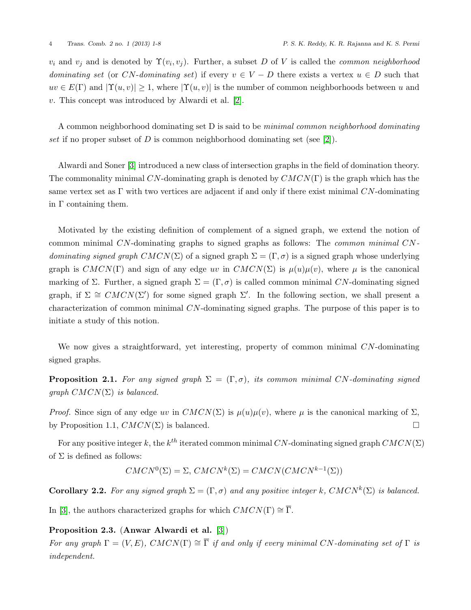$v_i$  and  $v_j$  and is denoted by  $\Upsilon(v_i, v_j)$ . Further, a subset D of V is called the *common neighborhood* dominating set (or CN-dominating set) if every  $v \in V - D$  there exists a vertex  $u \in D$  such that  $uv \in E(\Gamma)$  and  $|\Upsilon(u, v)| \geq 1$ , where  $|\Upsilon(u, v)|$  is the number of common neighborhoods between u and v. This concept was introduced by Alwardi et al. [\[2\]](#page-5-8).

A common neighborhood dominating set D is said to be minimal common neighborhood dominating set if no proper subset of D is common neighborhood dominating set (see [\[2\]](#page-5-8)).

Alwardi and Soner [\[3\]](#page-5-9) introduced a new class of intersection graphs in the field of domination theory. The commonality minimal CN-dominating graph is denoted by  $CMCN(\Gamma)$  is the graph which has the same vertex set as  $\Gamma$  with two vertices are adjacent if and only if there exist minimal CN-dominating in  $\Gamma$  containing them.

Motivated by the existing definition of complement of a signed graph, we extend the notion of common minimal CN-dominating graphs to signed graphs as follows: The common minimal CNdominating signed graph  $CMCN(\Sigma)$  of a signed graph  $\Sigma = (\Gamma, \sigma)$  is a signed graph whose underlying graph is  $CMCN(\Gamma)$  and sign of any edge uv in  $CMCN(\Sigma)$  is  $\mu(u)\mu(v)$ , where  $\mu$  is the canonical marking of Σ. Further, a signed graph  $\Sigma = (\Gamma, \sigma)$  is called common minimal CN-dominating signed graph, if  $\Sigma \cong \text{CMCN}(\Sigma')$  for some signed graph  $\Sigma'$ . In the following section, we shall present a characterization of common minimal CN-dominating signed graphs. The purpose of this paper is to initiate a study of this notion.

We now gives a straightforward, yet interesting, property of common minimal CN-dominating signed graphs.

**Proposition 2.1.** For any signed graph  $\Sigma = (\Gamma, \sigma)$ , its common minimal CN-dominating signed graph  $CMCN(\Sigma)$  is balanced.

Proof. Since sign of any edge uv in  $CMCN(\Sigma)$  is  $\mu(u)\mu(v)$ , where  $\mu$  is the canonical marking of  $\Sigma$ , by Proposition 1.1,  $CMCN(\Sigma)$  is balanced.

For any positive integer k, the  $k^{th}$  iterated common minimal CN-dominating signed graph  $CMCN(\Sigma)$ of  $\Sigma$  is defined as follows:

$$
CMCN^{0}(\Sigma) = \Sigma, CMCN^{k}(\Sigma) = CMCN(CMCN^{k-1}(\Sigma))
$$

**Corollary 2.2.** For any signed graph  $\Sigma = (\Gamma, \sigma)$  and any positive integer k,  $CMCN^k(\Sigma)$  is balanced.

In [\[3\]](#page-5-9), the authors characterized graphs for which  $CMCN(\Gamma) \cong \overline{\Gamma}$ .

## Proposition 2.3. (Anwar Alwardi et al. [\[3\]](#page-5-9))

For any graph  $\Gamma = (V, E)$ ,  $CMCN(\Gamma) \cong \overline{\Gamma}$  if and only if every minimal CN-dominating set of  $\Gamma$  is independent.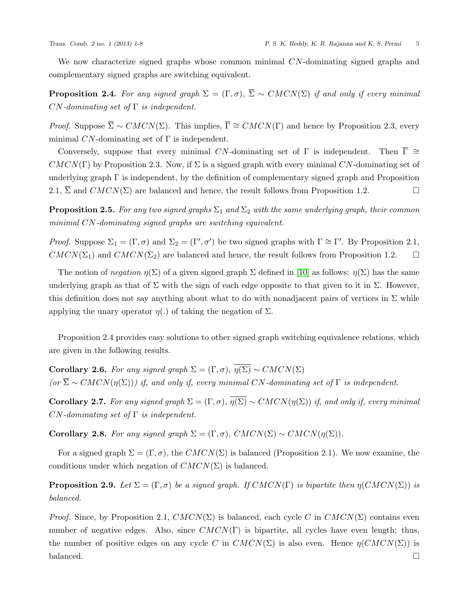We now characterize signed graphs whose common minimal CN-dominating signed graphs and complementary signed graphs are switching equivalent.

**Proposition 2.4.** For any signed graph  $\Sigma = (\Gamma, \sigma)$ ,  $\overline{\Sigma} \sim \text{CMCN}(\Sigma)$  if and only if every minimal  $CN$ -dominating set of  $\Gamma$  is independent.

*Proof.* Suppose  $\overline{\Sigma} \sim \text{CMCN}(\Sigma)$ . This implies,  $\overline{\Gamma} \cong \text{CMCN}(\Gamma)$  and hence by Proposition 2.3, every minimal  $CN$ -dominating set of  $\Gamma$  is independent.

Conversely, suppose that every minimal CN-dominating set of  $\Gamma$  is independent. Then  $\overline{\Gamma} \cong$  $CMCN(\Gamma)$  by Proposition 2.3. Now, if  $\Sigma$  is a signed graph with every minimal CN-dominating set of underlying graph  $\Gamma$  is independent, by the definition of complementary signed graph and Proposition 2.1,  $\overline{\Sigma}$  and  $CMCN(\Sigma)$  are balanced and hence, the result follows from Proposition 1.2.

**Proposition 2.5.** For any two signed graphs  $\Sigma_1$  and  $\Sigma_2$  with the same underlying graph, their common minimal CN-dominating signed graphs are switching equivalent.

Proof. Suppose  $\Sigma_1 = (\Gamma, \sigma)$  and  $\Sigma_2 = (\Gamma', \sigma')$  be two signed graphs with  $\Gamma \cong \Gamma'$ . By Proposition 2.1,  $CMCN(\Sigma_1)$  and  $CMCN(\Sigma_2)$  are balanced and hence, the result follows from Proposition 1.2.  $\square$ 

The notion of *negation*  $\eta(\Sigma)$  of a given signed graph  $\Sigma$  defined in [\[10\]](#page-5-2) as follows:  $\eta(\Sigma)$  has the same underlying graph as that of  $\Sigma$  with the sign of each edge opposite to that given to it in  $\Sigma$ . However, this definition does not say anything about what to do with nonadjacent pairs of vertices in  $\Sigma$  while applying the unary operator  $\eta(.)$  of taking the negation of  $\Sigma$ .

Proposition 2.4 provides easy solutions to other signed graph switching equivalence relations, which are given in the following results.

**Corollary 2.6.** For any signed graph  $\Sigma = (\Gamma, \sigma)$ ,  $\overline{\eta(\Sigma)} \sim CMCN(\Sigma)$  $(or \overline{\Sigma} \sim CMCN(\eta(\Sigma)))$  if, and only if, every minimal CN-dominating set of  $\Gamma$  is independent.

**Corollary 2.7.** For any signed graph  $\Sigma = (\Gamma, \sigma)$ ,  $\overline{\eta(\Sigma)} \sim CMCN(\eta(\Sigma))$  if, and only if, every minimal  $CN$ -dominating set of  $\Gamma$  is independent.

Corollary 2.8. For any signed graph  $\Sigma = (\Gamma, \sigma)$ ,  $CMCN(\Sigma) \sim CMCN(\eta(\Sigma))$ .

For a signed graph  $\Sigma = (\Gamma, \sigma)$ , the  $CMCN(\Sigma)$  is balanced (Proposition 2.1). We now examine, the conditions under which negation of  $CMCN(\Sigma)$  is balanced.

**Proposition 2.9.** Let  $\Sigma = (\Gamma, \sigma)$  be a signed graph. If  $CMCN(\Gamma)$  is bipartite then  $\eta(CMCN(\Sigma))$  is balanced.

*Proof.* Since, by Proposition 2.1,  $CMCN(\Sigma)$  is balanced, each cycle C in  $CMCN(\Sigma)$  contains even number of negative edges. Also, since  $CMCN(\Gamma)$  is bipartite, all cycles have even length; thus, the number of positive edges on any cycle C in  $CMCN(\Sigma)$  is also even. Hence  $\eta(CMCN(\Sigma))$  is balanced.  $\Box$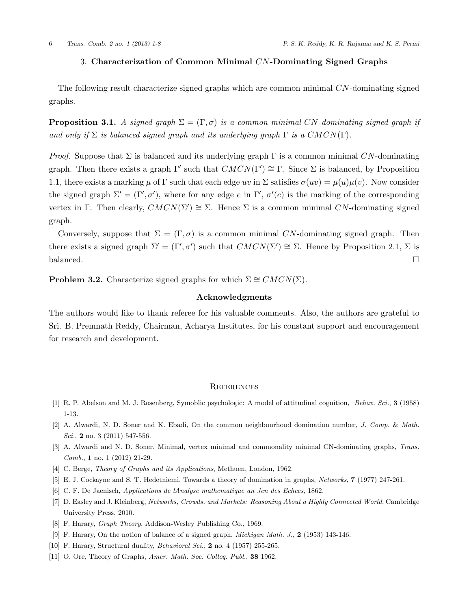## 3. Characterization of Common Minimal CN-Dominating Signed Graphs

The following result characterize signed graphs which are common minimal CN-dominating signed graphs.

**Proposition 3.1.** A signed graph  $\Sigma = (\Gamma, \sigma)$  is a common minimal CN-dominating signed graph if and only if  $\Sigma$  is balanced signed graph and its underlying graph  $\Gamma$  is a  $CMCN(\Gamma)$ .

*Proof.* Suppose that  $\Sigma$  is balanced and its underlying graph  $\Gamma$  is a common minimal CN-dominating graph. Then there exists a graph  $\Gamma'$  such that  $CMCN(\Gamma') \cong \Gamma$ . Since  $\Sigma$  is balanced, by Proposition 1.1, there exists a marking  $\mu$  of  $\Gamma$  such that each edge uv in  $\Sigma$  satisfies  $\sigma(uv) = \mu(u)\mu(v)$ . Now consider the signed graph  $\Sigma' = (\Gamma', \sigma')$ , where for any edge e in  $\Gamma'$ ,  $\sigma'(e)$  is the marking of the corresponding vertex in Γ. Then clearly,  $CMCN(\Sigma') \cong \Sigma$ . Hence  $\Sigma$  is a common minimal CN-dominating signed graph.

Conversely, suppose that  $\Sigma = (\Gamma, \sigma)$  is a common minimal CN-dominating signed graph. Then there exists a signed graph  $\Sigma' = (\Gamma', \sigma')$  such that  $CMCN(\Sigma') \cong \Sigma$ . Hence by Proposition 2.1,  $\Sigma$  is balanced.  $\Box$ 

**Problem 3.2.** Characterize signed graphs for which  $\overline{\Sigma} \cong CMCN(\Sigma)$ .

## Acknowledgments

The authors would like to thank referee for his valuable comments. Also, the authors are grateful to Sri. B. Premnath Reddy, Chairman, Acharya Institutes, for his constant support and encouragement for research and development.

### **REFERENCES**

- <span id="page-5-3"></span>[1] R. P. Abelson and M. J. Rosenberg, Symoblic psychologic: A model of attitudinal cognition, Behav. Sci., 3 (1958) 1-13.
- <span id="page-5-8"></span>[2] A. Alwardi, N. D. Soner and K. Ebadi, On the common neighbourhood domination number, J. Comp. & Math. Sci., 2 no. 3 (2011) 547-556.
- <span id="page-5-9"></span>[3] A. Alwardi and N. D. Soner, Minimal, vertex minimal and commonality minimal CN-dominating graphs, Trans. Comb., 1 no. 1 (2012) 21-29.
- <span id="page-5-5"></span>[4] C. Berge, *Theory of Graphs and its Applications*, Methuen, London, 1962.
- <span id="page-5-7"></span>[5] E. J. Cockayne and S. T. Hedetniemi, Towards a theory of domination in graphs, Networks, 7 (1977) 247-261.
- <span id="page-5-4"></span>[6] C. F. De Jaenisch, Applications de lAnalyse mathematique an Jen des Echecs, 1862.
- [7] D. Easley and J. Kleinberg, Networks, Crowds, and Markets: Reasoning About a Highly Connected World, Cambridge University Press, 2010.
- <span id="page-5-0"></span>[8] F. Harary, Graph Theory, Addison-Wesley Publishing Co., 1969.
- <span id="page-5-1"></span>[9] F. Harary, On the notion of balance of a signed graph, Michigan Math. J., 2 (1953) 143-146.
- <span id="page-5-2"></span>[10] F. Harary, Structural duality, Behavioral Sci., 2 no. 4 (1957) 255-265.
- <span id="page-5-6"></span>[11] O. Ore, Theory of Graphs, Amer. Math. Soc. Collog. Publ., 38 1962.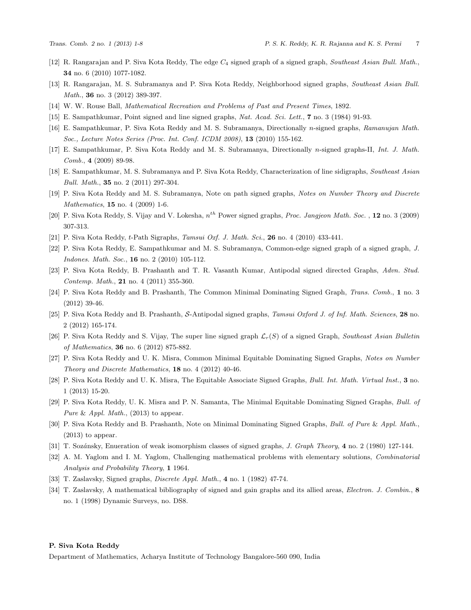- <span id="page-6-2"></span>[12] R. Rangarajan and P. Siva Kota Reddy, The edge  $C_4$  signed graph of a signed graph, Southeast Asian Bull. Math., 34 no. 6 (2010) 1077-1082.
- <span id="page-6-3"></span>[13] R. Rangarajan, M. S. Subramanya and P. Siva Kota Reddy, Neighborhood signed graphs, Southeast Asian Bull. Math., 36 no. 3 (2012) 389-397.
- <span id="page-6-11"></span>[14] W. W. Rouse Ball, Mathematical Recreation and Problems of Past and Present Times, 1892.
- <span id="page-6-1"></span>[15] E. Sampathkumar, Point signed and line signed graphs, Nat. Acad. Sci. Lett., 7 no. 3 (1984) 91-93.
- <span id="page-6-4"></span>[16] E. Sampathkumar, P. Siva Kota Reddy and M. S. Subramanya, Directionally n-signed graphs, Ramanujan Math. Soc., Lecture Notes Series (Proc. Int. Conf. ICDM 2008), 13 (2010) 155-162.
- <span id="page-6-5"></span>[17] E. Sampathkumar, P. Siva Kota Reddy and M. S. Subramanya, Directionally n-signed graphs-II, Int. J. Math. Comb., 4 (2009) 89-98.
- <span id="page-6-10"></span>[18] E. Sampathkumar, M. S. Subramanya and P. Siva Kota Reddy, Characterization of line sidigraphs, Southeast Asian Bull. Math., 35 no. 2 (2011) 297-304.
- <span id="page-6-6"></span>[19] P. Siva Kota Reddy and M. S. Subramanya, Note on path signed graphs, Notes on Number Theory and Discrete Mathematics, 15 no. 4 (2009) 1-6.
- [20] P. Siva Kota Reddy, S. Vijay and V. Lokesha,  $n^{th}$  Power signed graphs, Proc. Jangjeon Math. Soc., 12 no. 3 (2009) 307-313.
- [21] P. Siva Kota Reddy, t-Path Sigraphs, Tamsui Oxf. J. Math. Sci., 26 no. 4 (2010) 433-441.
- [22] P. Siva Kota Reddy, E. Sampathkumar and M. S. Subramanya, Common-edge signed graph of a signed graph, J. Indones. Math. Soc., 16 no. 2 (2010) 105-112.
- [23] P. Siva Kota Reddy, B. Prashanth and T. R. Vasanth Kumar, Antipodal signed directed Graphs, Advn. Stud. Contemp. Math., 21 no. 4 (2011) 355-360.
- [24] P. Siva Kota Reddy and B. Prashanth, The Common Minimal Dominating Signed Graph, Trans. Comb., 1 no. 3 (2012) 39-46.
- [25] P. Siva Kota Reddy and B. Prashanth, S-Antipodal signed graphs, Tamsui Oxford J. of Inf. Math. Sciences, 28 no. 2 (2012) 165-174.
- [26] P. Siva Kota Reddy and S. Vijay, The super line signed graph  $\mathcal{L}_r(S)$  of a signed Graph, Southeast Asian Bulletin of Mathematics, 36 no. 6 (2012) 875-882.
- [27] P. Siva Kota Reddy and U. K. Misra, Common Minimal Equitable Dominating Signed Graphs, Notes on Number Theory and Discrete Mathematics, 18 no. 4 (2012) 40-46.
- [28] P. Siva Kota Reddy and U. K. Misra, The Equitable Associate Signed Graphs, Bull. Int. Math. Virtual Inst., 3 no. 1 (2013) 15-20.
- [29] P. Siva Kota Reddy, U. K. Misra and P. N. Samanta, The Minimal Equitable Dominating Signed Graphs, Bull. of Pure & Appl. Math.,  $(2013)$  to appear.
- <span id="page-6-7"></span>[30] P. Siva Kota Reddy and B. Prashanth, Note on Minimal Dominating Signed Graphs, Bull. of Pure & Appl. Math., (2013) to appear.
- <span id="page-6-8"></span>[31] T. Sozánsky, Enueration of weak isomorphism classes of signed graphs, J. Graph Theory, 4 no. 2 (1980) 127-144.
- <span id="page-6-12"></span>[32] A. M. Yaglom and I. M. Yaglom, Challenging mathematical problems with elementary solutions, Combinatorial Analysis and Probability Theory, 1 1964.
- <span id="page-6-9"></span>[33] T. Zaslavsky, Signed graphs, Discrete Appl. Math., 4 no. 1 (1982) 47-74.
- <span id="page-6-0"></span>[34] T. Zaslavsky, A mathematical bibliography of signed and gain graphs and its allied areas, Electron. J. Combin., 8 no. 1 (1998) Dynamic Surveys, no. DS8.

#### P. Siva Kota Reddy

Department of Mathematics, Acharya Institute of Technology Bangalore-560 090, India